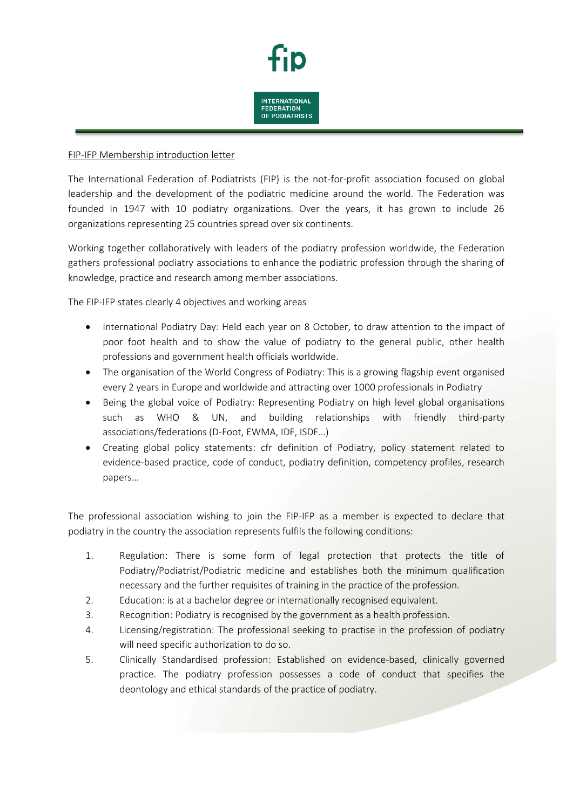

## FIP-IFP Membership introduction letter

The International Federation of Podiatrists (FIP) is the not-for-profit association focused on global leadership and the development of the podiatric medicine around the world. The Federation was founded in 1947 with 10 podiatry organizations. Over the years, it has grown to include 26 organizations representing 25 countries spread over six continents.

Working together collaboratively with leaders of the podiatry profession worldwide, the Federation gathers professional podiatry associations to enhance the podiatric profession through the sharing of knowledge, practice and research among member associations.

The FIP-IFP states clearly 4 objectives and working areas

- International Podiatry Day: Held each year on 8 October, to draw attention to the impact of poor foot health and to show the value of podiatry to the general public, other health professions and government health officials worldwide.
- The organisation of the World Congress of Podiatry: This is a growing flagship event organised every 2 years in Europe and worldwide and attracting over 1000 professionals in Podiatry
- Being the global voice of Podiatry: Representing Podiatry on high level global organisations such as WHO & UN, and building relationships with friendly third-party associations/federations (D-Foot, EWMA, IDF, ISDF…)
- Creating global policy statements: cfr definition of Podiatry, policy statement related to evidence-based practice, code of conduct, podiatry definition, competency profiles, research papers…

The professional association wishing to join the FIP-IFP as a member is expected to declare that podiatry in the country the association represents fulfils the following conditions:

- 1. Regulation: There is some form of legal protection that protects the title of Podiatry/Podiatrist/Podiatric medicine and establishes both the minimum qualification necessary and the further requisites of training in the practice of the profession.
- 2. Education: is at a bachelor degree or internationally recognised equivalent.
- 3. Recognition: Podiatry is recognised by the government as a health profession.
- 4. Licensing/registration: The professional seeking to practise in the profession of podiatry will need specific authorization to do so.
- 5. Clinically Standardised profession: Established on evidence-based, clinically governed practice. The podiatry profession possesses a code of conduct that specifies the deontology and ethical standards of the practice of podiatry.